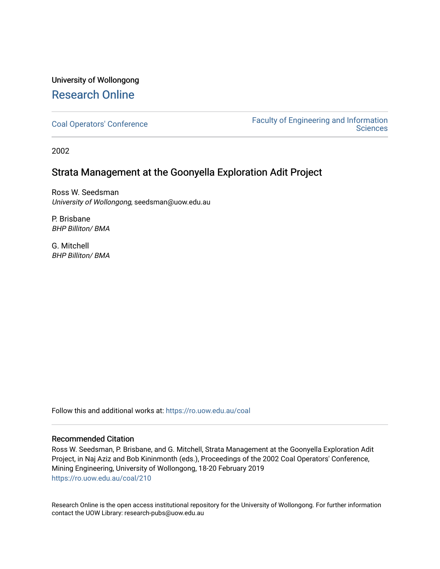# University of Wollongong [Research Online](https://ro.uow.edu.au/)

[Coal Operators' Conference](https://ro.uow.edu.au/coal) [Faculty of Engineering and Information](https://ro.uow.edu.au/eis)  **Sciences** 

2002

# Strata Management at the Goonyella Exploration Adit Project

Ross W. Seedsman University of Wollongong, seedsman@uow.edu.au

P. Brisbane BHP Billiton/ BMA

G. Mitchell BHP Billiton/ BMA

Follow this and additional works at: [https://ro.uow.edu.au/coal](https://ro.uow.edu.au/coal?utm_source=ro.uow.edu.au%2Fcoal%2F210&utm_medium=PDF&utm_campaign=PDFCoverPages) 

# Recommended Citation

Ross W. Seedsman, P. Brisbane, and G. Mitchell, Strata Management at the Goonyella Exploration Adit Project, in Naj Aziz and Bob Kininmonth (eds.), Proceedings of the 2002 Coal Operators' Conference, Mining Engineering, University of Wollongong, 18-20 February 2019 [https://ro.uow.edu.au/coal/210](https://ro.uow.edu.au/coal/210?utm_source=ro.uow.edu.au%2Fcoal%2F210&utm_medium=PDF&utm_campaign=PDFCoverPages) 

Research Online is the open access institutional repository for the University of Wollongong. For further information contact the UOW Library: research-pubs@uow.edu.au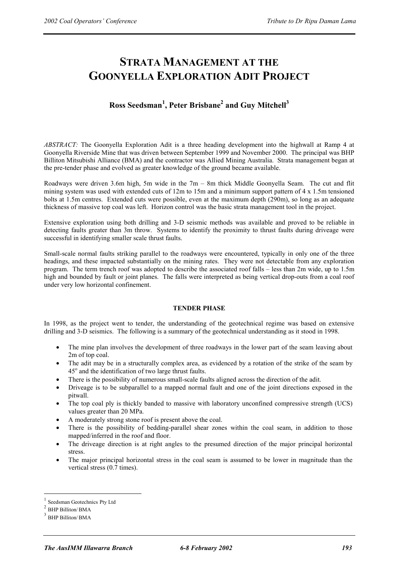# **STRATA MANAGEMENT AT THE GOONYELLA EXPLORATION ADIT PROJECT**

# **Ross Seedsman<sup>1</sup> , Peter Brisbane2 and Guy Mitchell<sup>3</sup>**

*ABSTRACT:* The Goonyella Exploration Adit is a three heading development into the highwall at Ramp 4 at Goonyella Riverside Mine that was driven between September 1999 and November 2000. The principal was BHP Billiton Mitsubishi Alliance (BMA) and the contractor was Allied Mining Australia. Strata management began at the pre-tender phase and evolved as greater knowledge of the ground became available.

Roadways were driven 3.6m high, 5m wide in the 7m – 8m thick Middle Goonyella Seam. The cut and flit mining system was used with extended cuts of 12m to 15m and a minimum support pattern of 4 x 1.5m tensioned bolts at 1.5m centres. Extended cuts were possible, even at the maximum depth (290m), so long as an adequate thickness of massive top coal was left. Horizon control was the basic strata management tool in the project.

Extensive exploration using both drilling and 3-D seismic methods was available and proved to be reliable in detecting faults greater than 3m throw. Systems to identify the proximity to thrust faults during driveage were successful in identifying smaller scale thrust faults.

Small-scale normal faults striking parallel to the roadways were encountered, typically in only one of the three headings, and these impacted substantially on the mining rates. They were not detectable from any exploration program. The term trench roof was adopted to describe the associated roof falls – less than 2m wide, up to 1.5m high and bounded by fault or joint planes. The falls were interpreted as being vertical drop-outs from a coal roof under very low horizontal confinement.

# **TENDER PHASE**

In 1998, as the project went to tender, the understanding of the geotechnical regime was based on extensive drilling and 3-D seismics. The following is a summary of the geotechnical understanding as it stood in 1998.

- The mine plan involves the development of three roadways in the lower part of the seam leaving about 2m of top coal.
- The adit may be in a structurally complex area, as evidenced by a rotation of the strike of the seam by 45<sup>°</sup> and the identification of two large thrust faults.
- There is the possibility of numerous small-scale faults aligned across the direction of the adit.
- Driveage is to be subparallel to a mapped normal fault and one of the joint directions exposed in the pitwall.
- The top coal ply is thickly banded to massive with laboratory unconfined compressive strength (UCS) values greater than 20 MPa.
- A moderately strong stone roof is present above the coal.
- There is the possibility of bedding-parallel shear zones within the coal seam, in addition to those mapped/inferred in the roof and floor.
- The driveage direction is at right angles to the presumed direction of the major principal horizontal stress.
- The major principal horizontal stress in the coal seam is assumed to be lower in magnitude than the vertical stress (0.7 times).

 $\overline{a}$ 

<sup>&</sup>lt;sup>1</sup> Seedsman Geotechnics Pty Ltd<br> $\frac{2}{7}$  PUD Pillics (DMA)

<sup>2</sup> BHP Billiton/BMA

BHP Billiton/BMA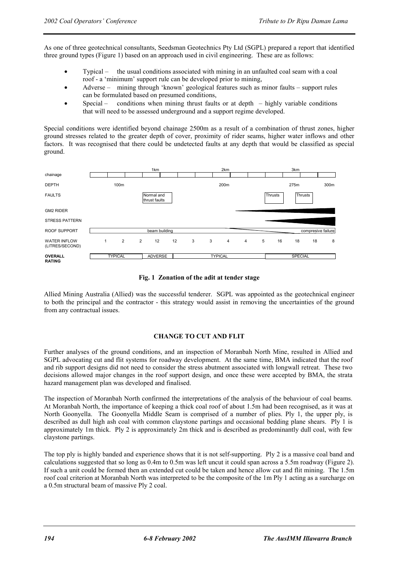As one of three geotechnical consultants, Seedsman Geotechnics Pty Ltd (SGPL) prepared a report that identified three ground types (Figure 1) based on an approach used in civil engineering. These are as follows:

- Typical the usual conditions associated with mining in an unfaulted coal seam with a coal roof - a 'minimum' support rule can be developed prior to mining,
- Adverse mining through 'known' geological features such as minor faults support rules can be formulated based on presumed conditions,
- Special conditions when mining thrust faults or at depth highly variable conditions that will need to be assessed underground and a support regime developed.

Special conditions were identified beyond chainage 2500m as a result of a combination of thrust zones, higher ground stresses related to the greater depth of cover, proximity of rider seams, higher water inflows and other factors. It was recognised that there could be undetected faults at any depth that would be classified as special ground.



# **Fig. 1 Zonation of the adit at tender stage**

Allied Mining Australia (Allied) was the successful tenderer. SGPL was appointed as the geotechnical engineer to both the principal and the contractor - this strategy would assist in removing the uncertainties of the ground from any contractual issues.

# **CHANGE TO CUT AND FLIT**

Further analyses of the ground conditions, and an inspection of Moranbah North Mine, resulted in Allied and SGPL advocating cut and flit systems for roadway development. At the same time, BMA indicated that the roof and rib support designs did not need to consider the stress abutment associated with longwall retreat. These two decisions allowed major changes in the roof support design, and once these were accepted by BMA, the strata hazard management plan was developed and finalised.

The inspection of Moranbah North confirmed the interpretations of the analysis of the behaviour of coal beams. At Moranbah North, the importance of keeping a thick coal roof of about 1.5m had been recognised, as it was at North Goonyella. The Goonyella Middle Seam is comprised of a number of plies. Ply 1, the upper ply, is described as dull high ash coal with common claystone partings and occasional bedding plane shears. Ply 1 is approximately 1m thick. Ply 2 is approximately 2m thick and is described as predominantly dull coal, with few claystone partings.

The top ply is highly banded and experience shows that it is not self-supporting. Ply 2 is a massive coal band and calculations suggested that so long as 0.4m to 0.5m was left uncut it could span across a 5.5m roadway (Figure 2). If such a unit could be formed then an extended cut could be taken and hence allow cut and flit mining. The 1.5m roof coal criterion at Moranbah North was interpreted to be the composite of the 1m Ply 1 acting as a surcharge on a 0.5m structural beam of massive Ply 2 coal.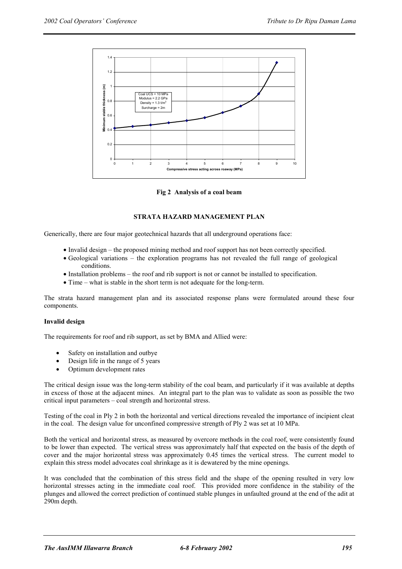

**Fig 2 Analysis of a coal beam**

# **STRATA HAZARD MANAGEMENT PLAN**

Generically, there are four major geotechnical hazards that all underground operations face:

- Invalid design the proposed mining method and roof support has not been correctly specified.
- Geological variations the exploration programs has not revealed the full range of geological conditions.
- Installation problems the roof and rib support is not or cannot be installed to specification.
- Time what is stable in the short term is not adequate for the long-term.

The strata hazard management plan and its associated response plans were formulated around these four components.

#### **Invalid design**

The requirements for roof and rib support, as set by BMA and Allied were:

- Safety on installation and outbye
- Design life in the range of 5 years
- Optimum development rates

The critical design issue was the long-term stability of the coal beam, and particularly if it was available at depths in excess of those at the adjacent mines. An integral part to the plan was to validate as soon as possible the two critical input parameters – coal strength and horizontal stress.

Testing of the coal in Ply 2 in both the horizontal and vertical directions revealed the importance of incipient cleat in the coal. The design value for unconfined compressive strength of Ply 2 was set at 10 MPa.

Both the vertical and horizontal stress, as measured by overcore methods in the coal roof, were consistently found to be lower than expected. The vertical stress was approximately half that expected on the basis of the depth of cover and the major horizontal stress was approximately 0.45 times the vertical stress. The current model to explain this stress model advocates coal shrinkage as it is dewatered by the mine openings.

It was concluded that the combination of this stress field and the shape of the opening resulted in very low horizontal stresses acting in the immediate coal roof. This provided more confidence in the stability of the plunges and allowed the correct prediction of continued stable plunges in unfaulted ground at the end of the adit at 290m depth.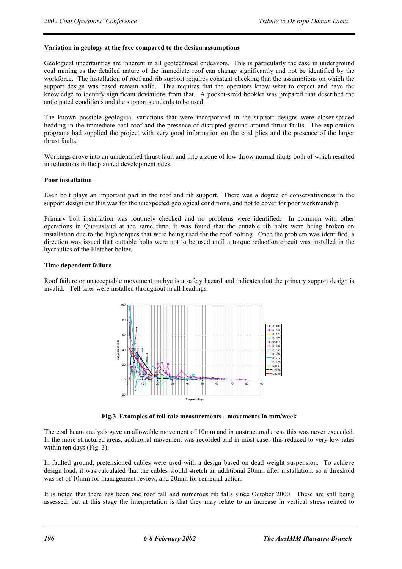## **Variation in geology at the face compared to the design assumptions**

Geological uncertainties are inherent in all geotechnical endeavors. This is particularly the case in underground coal mining as the detailed nature of the immediate roof can change significantly and not be identified by the workforce. The installation of roof and rib support requires constant checking that the assumptions on which the support design was based remain valid. This requires that the operators know what to expect and have the knowledge to identify significant deviations from that. A pocket-sized booklet was prepared that described the anticipated conditions and the support standards to be used.

The known possible geological variations that were incorporated in the support designs were closer-spaced bedding in the immediate coal roof and the presence of disrupted ground around thrust faults. The exploration programs had supplied the project with very good information on the coal plies and the presence of the larger thrust faults.

Workings drove into an unidentified thrust fault and into a zone of low throw normal faults both of which resulted in reductions in the planned development rates.

#### **Poor installation**

Each bolt plays an important part in the roof and rib support. There was a degree of conservativeness in the support design but this was for the unexpected geological conditions, and not to cover for poor workmanship.

Primary bolt installation was routinely checked and no problems were identified. In common with other operations in Queensland at the same time, it was found that the cuttable rib bolts were being broken on installation due to the high torques that were being used for the roof bolting. Once the problem was identified, a direction was issued that cuttable bolts were not to be used until a torque reduction circuit was installed in the hydraulics of the Fletcher bolter.

#### **Time dependent failure**

Roof failure or unacceptable movement outbye is a safety hazard and indicates that the primary support design is invalid. Tell tales were installed throughout in all headings.



**Fig.3 Examples of tell-tale measurements - movements in mm/week** 

The coal beam analysis gave an allowable movement of 10mm and in unstructured areas this was never exceeded. In the more structured areas, additional movement was recorded and in most cases this reduced to very low rates within ten days (Fig. 3).

In faulted ground, pretensioned cables were used with a design based on dead weight suspension. To achieve design load, it was calculated that the cables would stretch an additional 20mm after installation, so a threshold was set of 10mm for management review, and 20mm for remedial action.

It is noted that there has been one roof fall and numerous rib falls since October 2000. These are still being assessed, but at this stage the interpretation is that they may relate to an increase in vertical stress related to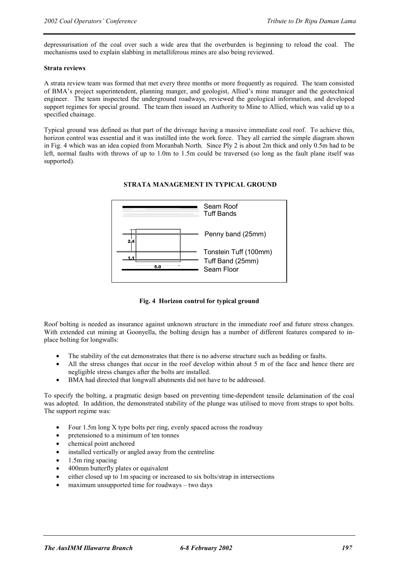depressurisation of the coal over such a wide area that the overburden is beginning to reload the coal. The mechanisms used to explain slabbing in metalliferous mines are also being reviewed.

#### **Strata reviews**

A strata review team was formed that met every three months or more frequently as required. The team consisted of BMA's project superintendent, planning manger, and geologist, Allied's mine manager and the geotechnical engineer. The team inspected the underground roadways, reviewed the geological information, and developed support regimes for special ground. The team then issued an Authority to Mine to Allied, which was valid up to a specified chainage.

Typical ground was defined as that part of the driveage having a massive immediate coal roof. To achieve this, horizon control was essential and it was instilled into the work force. They all carried the simple diagram shown in Fig. 4 which was an idea copied from Moranbah North. Since Ply 2 is about 2m thick and only 0.5m had to be left, normal faults with throws of up to 1.0m to 1.5m could be traversed (so long as the fault plane itself was supported).



# **STRATA MANAGEMENT IN TYPICAL GROUND**

**Fig. 4 Horizon control for typical ground** 

Roof bolting is needed as insurance against unknown structure in the immediate roof and future stress changes. With extended cut mining at Goonyella, the bolting design has a number of different features compared to inplace bolting for longwalls:

- The stability of the cut demonstrates that there is no adverse structure such as bedding or faults.
- All the stress changes that occur in the roof develop within about 5 m of the face and hence there are negligible stress changes after the bolts are installed.
- BMA had directed that longwall abutments did not have to be addressed.

To specify the bolting, a pragmatic design based on preventing time-dependent tensile delamination of the coal was adopted. In addition, the demonstrated stability of the plunge was utilised to move from straps to spot bolts. The support regime was:

- Four 1.5m long X type bolts per ring, evenly spaced across the roadway
- pretensioned to a minimum of ten tonnes
- chemical point anchored
- installed vertically or angled away from the centreline
- 1.5m ring spacing
- 400mm butterfly plates or equivalent
- either closed up to 1m spacing or increased to six bolts/strap in intersections
- $maximum$  unsupported time for roadways two days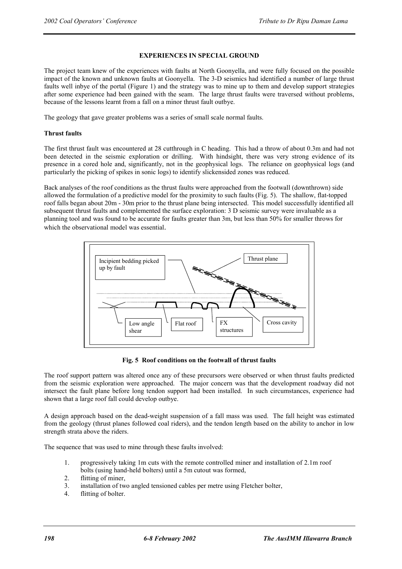# **EXPERIENCES IN SPECIAL GROUND**

The project team knew of the experiences with faults at North Goonyella, and were fully focused on the possible impact of the known and unknown faults at Goonyella. The 3-D seismics had identified a number of large thrust faults well inbye of the portal (Figure 1) and the strategy was to mine up to them and develop support strategies after some experience had been gained with the seam. The large thrust faults were traversed without problems, because of the lessons learnt from a fall on a minor thrust fault outbye.

The geology that gave greater problems was a series of small scale normal faults.

### **Thrust faults**

The first thrust fault was encountered at 28 cutthrough in C heading. This had a throw of about 0.3m and had not been detected in the seismic exploration or drilling. With hindsight, there was very strong evidence of its presence in a cored hole and, significantly, not in the geophysical logs. The reliance on geophysical logs (and particularly the picking of spikes in sonic logs) to identify slickensided zones was reduced.

Back analyses of the roof conditions as the thrust faults were approached from the footwall (downthrown) side allowed the formulation of a predictive model for the proximity to such faults (Fig. 5). The shallow, flat-topped roof falls began about 20m - 30m prior to the thrust plane being intersected. This model successfully identified all subsequent thrust faults and complemented the surface exploration: 3 D seismic survey were invaluable as a planning tool and was found to be accurate for faults greater than 3m, but less than 50% for smaller throws for which the observational model was essential.



**Fig. 5 Roof conditions on the footwall of thrust faults**

The roof support pattern was altered once any of these precursors were observed or when thrust faults predicted from the seismic exploration were approached. The major concern was that the development roadway did not intersect the fault plane before long tendon support had been installed. In such circumstances, experience had shown that a large roof fall could develop outbye.

A design approach based on the dead-weight suspension of a fall mass was used. The fall height was estimated from the geology (thrust planes followed coal riders), and the tendon length based on the ability to anchor in low strength strata above the riders.

The sequence that was used to mine through these faults involved:

- 1. progressively taking 1m cuts with the remote controlled miner and installation of 2.1m roof bolts (using hand-held bolters) until a 5m cutout was formed,
- 2. flitting of miner,
- 3. installation of two angled tensioned cables per metre using Fletcher bolter,
- 4. flitting of bolter.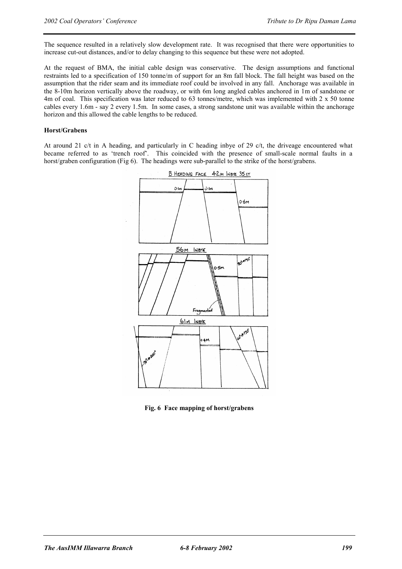The sequence resulted in a relatively slow development rate. It was recognised that there were opportunities to increase cut-out distances, and/or to delay changing to this sequence but these were not adopted.

At the request of BMA, the initial cable design was conservative. The design assumptions and functional restraints led to a specification of 150 tonne/m of support for an 8m fall block. The fall height was based on the assumption that the rider seam and its immediate roof could be involved in any fall. Anchorage was available in the 8-10m horizon vertically above the roadway, or with 6m long angled cables anchored in 1m of sandstone or 4m of coal. This specification was later reduced to 63 tonnes/metre, which was implemented with 2 x 50 tonne cables every 1.6m - say 2 every 1.5m. In some cases, a strong sandstone unit was available within the anchorage horizon and this allowed the cable lengths to be reduced.

# **Horst/Grabens**

At around 21 c/t in A heading, and particularly in C heading inbye of 29 c/t, the driveage encountered what became referred to as 'trench roof'. This coincided with the presence of small-scale normal faults in a horst/graben configuration (Fig 6). The headings were sub-parallel to the strike of the horst/grabens.



**Fig. 6 Face mapping of horst/grabens**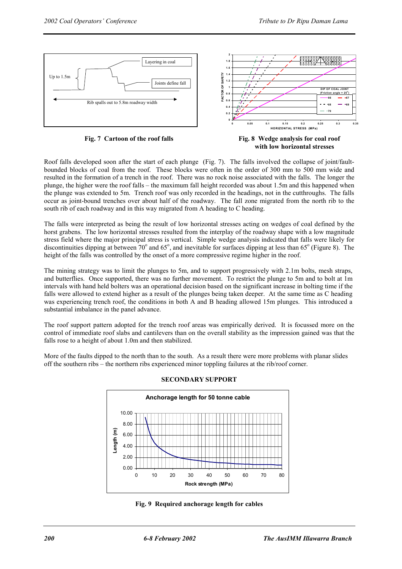

Fig. 7 Cartoon of the roof falls **Fig. 8** Wedge analysis for coal roof  **with low horizontal stresses** 

Roof falls developed soon after the start of each plunge (Fig. 7). The falls involved the collapse of joint/faultbounded blocks of coal from the roof. These blocks were often in the order of 300 mm to 500 mm wide and resulted in the formation of a trench in the roof. There was no rock noise associated with the falls. The longer the plunge, the higher were the roof falls – the maximum fall height recorded was about 1.5m and this happened when the plunge was extended to 5m. Trench roof was only recorded in the headings, not in the cutthroughs. The falls occur as joint-bound trenches over about half of the roadway. The fall zone migrated from the north rib to the south rib of each roadway and in this way migrated from A heading to C heading.

The falls were interpreted as being the result of low horizontal stresses acting on wedges of coal defined by the horst grabens. The low horizontal stresses resulted from the interplay of the roadway shape with a low magnitude stress field where the major principal stress is vertical. Simple wedge analysis indicated that falls were likely for discontinuities dipping at between  $70^{\circ}$  and  $65^{\circ}$ , and inevitable for surfaces dipping at less than  $65^{\circ}$  (Figure 8). The height of the falls was controlled by the onset of a more compressive regime higher in the roof.

The mining strategy was to limit the plunges to 5m, and to support progressively with 2.1m bolts, mesh straps, and butterflies. Once supported, there was no further movement. To restrict the plunge to 5m and to bolt at 1m intervals with hand held bolters was an operational decision based on the significant increase in bolting time if the falls were allowed to extend higher as a result of the plunges being taken deeper. At the same time as C heading was experiencing trench roof, the conditions in both A and B heading allowed 15m plunges. This introduced a substantial imbalance in the panel advance.

The roof support pattern adopted for the trench roof areas was empirically derived. It is focussed more on the control of immediate roof slabs and cantilevers than on the overall stability as the impression gained was that the falls rose to a height of about 1.0m and then stabilized.

More of the faults dipped to the north than to the south. As a result there were more problems with planar slides off the southern ribs – the northern ribs experienced minor toppling failures at the rib/roof corner.



# **SECONDARY SUPPORT**

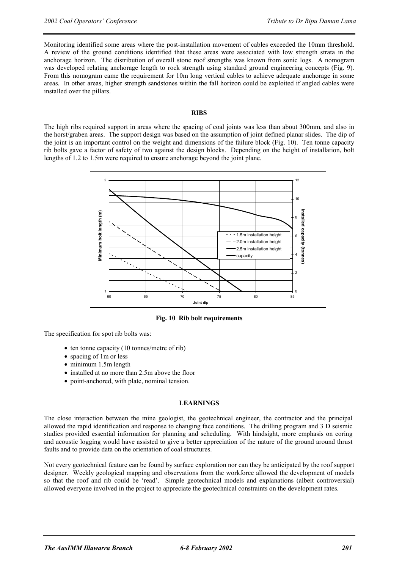Monitoring identified some areas where the post-installation movement of cables exceeded the 10mm threshold. A review of the ground conditions identified that these areas were associated with low strength strata in the anchorage horizon. The distribution of overall stone roof strengths was known from sonic logs. A nomogram was developed relating anchorage length to rock strength using standard ground engineering concepts (Fig. 9). From this nomogram came the requirement for 10m long vertical cables to achieve adequate anchorage in some areas. In other areas, higher strength sandstones within the fall horizon could be exploited if angled cables were installed over the pillars.

#### **RIBS**

The high ribs required support in areas where the spacing of coal joints was less than about 300mm, and also in the horst/graben areas. The support design was based on the assumption of joint defined planar slides. The dip of the joint is an important control on the weight and dimensions of the failure block (Fig. 10). Ten tonne capacity rib bolts gave a factor of safety of two against the design blocks. Depending on the height of installation, bolt lengths of 1.2 to 1.5m were required to ensure anchorage beyond the joint plane.



**Fig. 10 Rib bolt requirements** 

The specification for spot rib bolts was:

- ten tonne capacity (10 tonnes/metre of rib)
- spacing of 1m or less
- minimum 1.5m length
- installed at no more than 2.5m above the floor
- point-anchored, with plate, nominal tension.

#### **LEARNINGS**

The close interaction between the mine geologist, the geotechnical engineer, the contractor and the principal allowed the rapid identification and response to changing face conditions. The drilling program and 3 D seismic studies provided essential information for planning and scheduling. With hindsight, more emphasis on coring and acoustic logging would have assisted to give a better appreciation of the nature of the ground around thrust faults and to provide data on the orientation of coal structures.

Not every geotechnical feature can be found by surface exploration nor can they be anticipated by the roof support designer. Weekly geological mapping and observations from the workforce allowed the development of models so that the roof and rib could be 'read'. Simple geotechnical models and explanations (albeit controversial) allowed everyone involved in the project to appreciate the geotechnical constraints on the development rates.